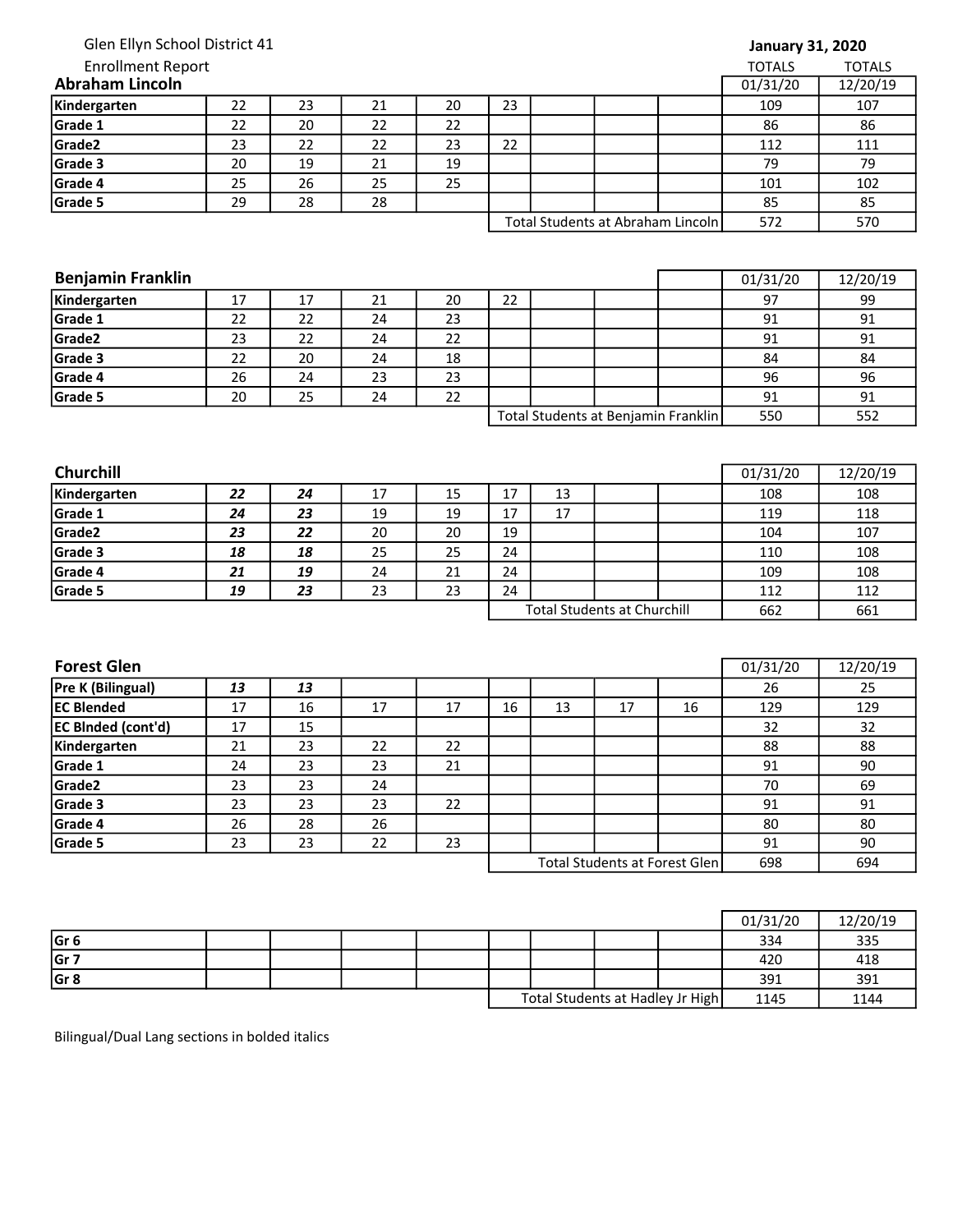| <b>Enrollment Report</b><br>المرابط مردان الممرس مالمر |  |
|--------------------------------------------------------|--|
| Glen Ellyn School District 41                          |  |

| January 31, 2020 |  |  |
|------------------|--|--|
|------------------|--|--|

| <b>Enrollment Report</b> |    |    |    |    |    |  |                                   | <b>TOTALS</b> | <b>TOTALS</b> |
|--------------------------|----|----|----|----|----|--|-----------------------------------|---------------|---------------|
| <b>Abraham Lincoln</b>   |    |    |    |    |    |  |                                   | 01/31/20      | 12/20/19      |
| Kindergarten             | 22 | 23 | 21 | 20 | 23 |  |                                   | 109           | 107           |
| Grade 1                  | 22 | 20 | 22 | 22 |    |  |                                   | 86            | 86            |
| Grade <sub>2</sub>       | 23 | 22 | 22 | 23 | 22 |  |                                   | 112           | 111           |
| Grade 3                  | 20 | 19 | 21 | 19 |    |  |                                   | 79            | 79            |
| Grade 4                  | 25 | 26 | 25 | 25 |    |  |                                   | 101           | 102           |
| Grade 5                  | 29 | 28 | 28 |    |    |  |                                   | 85            | 85            |
|                          |    |    |    |    |    |  | Total Students at Abraham Lincoln | 572           | 570           |

| 101 | 102 |
|-----|-----|
| 85  | 85  |
| 572 | 570 |

| <b>Benjamin Franklin</b> |    |    |    |    |                                     |  |  |  | 01/31/20 | 12/20/19 |
|--------------------------|----|----|----|----|-------------------------------------|--|--|--|----------|----------|
| Kindergarten             | 17 | 17 | 21 | 20 | 22                                  |  |  |  | 97       | 99       |
| Grade 1                  | 22 | 22 | 24 | 23 |                                     |  |  |  | 91       | 91       |
| Grade <sub>2</sub>       | 23 | 22 | 24 | 22 |                                     |  |  |  | 91       | 91       |
| Grade 3                  | 22 | 20 | 24 | 18 |                                     |  |  |  | 84       | 84       |
| Grade 4                  | 26 | 24 | 23 | 23 |                                     |  |  |  | 96       | 96       |
| Grade 5                  | 20 | 25 | 24 | 22 |                                     |  |  |  | 91       | 91       |
|                          |    |    |    |    | Total Students at Benjamin Franklin |  |  |  | 550      | 552      |

| <b>Churchill</b>   |    |    |    |    |                                    |    |  |     | 01/31/20 | 12/20/19 |
|--------------------|----|----|----|----|------------------------------------|----|--|-----|----------|----------|
| Kindergarten       | 22 | 24 | 17 | 15 | 17                                 | 13 |  |     | 108      | 108      |
| Grade 1            | 24 | 23 | 19 | 19 | 17                                 | 17 |  |     | 119      | 118      |
| Grade <sub>2</sub> | 23 | 22 | 20 | 20 | 19                                 |    |  |     | 104      | 107      |
| Grade 3            | 18 | 18 | 25 | 25 | 24                                 |    |  |     | 110      | 108      |
| Grade 4            | 21 | 19 | 24 | 21 | 24                                 |    |  |     | 109      | 108      |
| Grade 5            | 19 | 23 | 23 | 23 | 24                                 |    |  |     | 112      | 112      |
|                    |    |    |    |    | <b>Total Students at Churchill</b> |    |  | 662 | 661      |          |

| <b>Forest Glen</b>        |    |    |    |    |    |    |                               |     | 01/31/20 | 12/20/19 |
|---------------------------|----|----|----|----|----|----|-------------------------------|-----|----------|----------|
| Pre K (Bilingual)         | 13 | 13 |    |    |    |    |                               |     | 26       | 25       |
| <b>EC Blended</b>         | 17 | 16 | 17 | 17 | 16 | 13 | 17                            | 16  | 129      | 129      |
| <b>EC Binded (cont'd)</b> | 17 | 15 |    |    |    |    |                               |     | 32       | 32       |
| Kindergarten              | 21 | 23 | 22 | 22 |    |    |                               |     | 88       | 88       |
| Grade 1                   | 24 | 23 | 23 | 21 |    |    |                               |     | 91       | 90       |
| Grade2                    | 23 | 23 | 24 |    |    |    |                               |     | 70       | 69       |
| Grade 3                   | 23 | 23 | 23 | 22 |    |    |                               |     | 91       | 91       |
| Grade 4                   | 26 | 28 | 26 |    |    |    |                               |     | 80       | 80       |
| Grade 5                   | 23 | 23 | 22 | 23 |    |    |                               |     | 91       | 90       |
|                           |    |    |    |    |    |    | Total Students at Forest Glen | 698 | 694      |          |

|                 |  |  |  |                                  | 01/31/20 | 12/20/19 |
|-----------------|--|--|--|----------------------------------|----------|----------|
| Gr <sub>6</sub> |  |  |  |                                  | 334      | 335      |
| Gr 7            |  |  |  |                                  | 420      | 418      |
| Gr 8            |  |  |  |                                  | 391      | 391      |
|                 |  |  |  | Total Students at Hadley Jr High | 1145     | 1144     |

Bilingual/Dual Lang sections in bolded italics